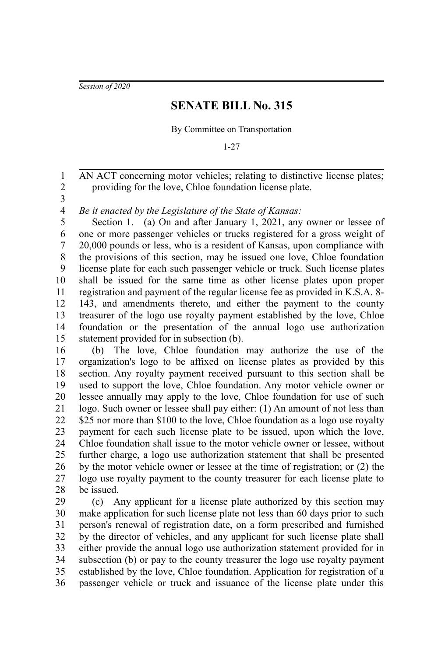*Session of 2020*

## **SENATE BILL No. 315**

By Committee on Transportation

1-27

AN ACT concerning motor vehicles; relating to distinctive license plates; providing for the love, Chloe foundation license plate. 2

3

1

*Be it enacted by the Legislature of the State of Kansas:* 4

Section 1. (a) On and after January 1, 2021, any owner or lessee of one or more passenger vehicles or trucks registered for a gross weight of 20,000 pounds or less, who is a resident of Kansas, upon compliance with the provisions of this section, may be issued one love, Chloe foundation license plate for each such passenger vehicle or truck. Such license plates shall be issued for the same time as other license plates upon proper registration and payment of the regular license fee as provided in K.S.A. 8- 143, and amendments thereto, and either the payment to the county treasurer of the logo use royalty payment established by the love, Chloe foundation or the presentation of the annual logo use authorization statement provided for in subsection (b). 5 6 7 8 9 10 11 12 13 14 15

(b) The love, Chloe foundation may authorize the use of the organization's logo to be affixed on license plates as provided by this section. Any royalty payment received pursuant to this section shall be used to support the love, Chloe foundation. Any motor vehicle owner or lessee annually may apply to the love, Chloe foundation for use of such logo. Such owner or lessee shall pay either: (1) An amount of not less than \$25 nor more than \$100 to the love, Chloe foundation as a logo use royalty payment for each such license plate to be issued, upon which the love, Chloe foundation shall issue to the motor vehicle owner or lessee, without further charge, a logo use authorization statement that shall be presented by the motor vehicle owner or lessee at the time of registration; or (2) the logo use royalty payment to the county treasurer for each license plate to be issued. 16 17 18 19 20 21 22 23 24 25 26 27 28

(c) Any applicant for a license plate authorized by this section may make application for such license plate not less than 60 days prior to such person's renewal of registration date, on a form prescribed and furnished by the director of vehicles, and any applicant for such license plate shall either provide the annual logo use authorization statement provided for in subsection (b) or pay to the county treasurer the logo use royalty payment established by the love, Chloe foundation. Application for registration of a passenger vehicle or truck and issuance of the license plate under this 29 30 31 32 33 34 35 36